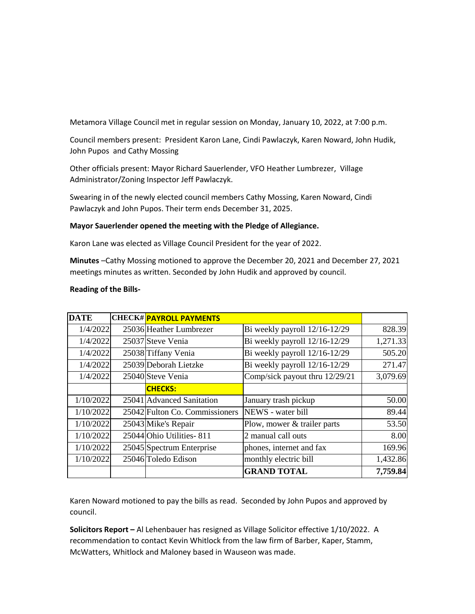Metamora Village Council met in regular session on Monday, January 10, 2022, at 7:00 p.m.

Council members present: President Karon Lane, Cindi Pawlaczyk, Karen Noward, John Hudik, John Pupos and Cathy Mossing

Other officials present: Mayor Richard Sauerlender, VFO Heather Lumbrezer, Village Administrator/Zoning Inspector Jeff Pawlaczyk.

Swearing in of the newly elected council members Cathy Mossing, Karen Noward, Cindi Pawlaczyk and John Pupos. Their term ends December 31, 2025.

## **Mayor Sauerlender opened the meeting with the Pledge of Allegiance.**

Karon Lane was elected as Village Council President for the year of 2022.

**Minutes** –Cathy Mossing motioned to approve the December 20, 2021 and December 27, 2021 meetings minutes as written. Seconded by John Hudik and approved by council.

| <b>DATE</b> | <b>CHECK# PAYROLL PAYMENTS</b> |                                |          |
|-------------|--------------------------------|--------------------------------|----------|
| 1/4/2022    | 25036 Heather Lumbrezer        | Bi weekly payroll 12/16-12/29  | 828.39   |
| 1/4/2022    | 25037 Steve Venia              | Bi weekly payroll 12/16-12/29  | 1,271.33 |
| 1/4/2022    | 25038 Tiffany Venia            | Bi weekly payroll 12/16-12/29  | 505.20   |
| 1/4/2022    | 25039 Deborah Lietzke          | Bi weekly payroll 12/16-12/29  | 271.47   |
| 1/4/2022    | 25040 Steve Venia              | Comp/sick payout thru 12/29/21 | 3,079.69 |
|             | <b>CHECKS:</b>                 |                                |          |
| 1/10/2022   | 25041 Advanced Sanitation      | January trash pickup           | 50.00    |
| 1/10/2022   | 25042 Fulton Co. Commissioners | NEWS - water bill              | 89.44    |
| 1/10/2022   | 25043 Mike's Repair            | Plow, mower & trailer parts    | 53.50    |
| 1/10/2022   | 25044 Ohio Utilities - 811     | 2 manual call outs             | 8.00     |
| 1/10/2022   | 25045 Spectrum Enterprise      | phones, internet and fax       | 169.96   |
| 1/10/2022   | 25046 Toledo Edison            | monthly electric bill          | 1,432.86 |
|             |                                | <b>GRAND TOTAL</b>             | 7,759.84 |

## **Reading of the Bills-**

Karen Noward motioned to pay the bills as read. Seconded by John Pupos and approved by council.

**Solicitors Report –** Al Lehenbauer has resigned as Village Solicitor effective 1/10/2022. A recommendation to contact Kevin Whitlock from the law firm of Barber, Kaper, Stamm, McWatters, Whitlock and Maloney based in Wauseon was made.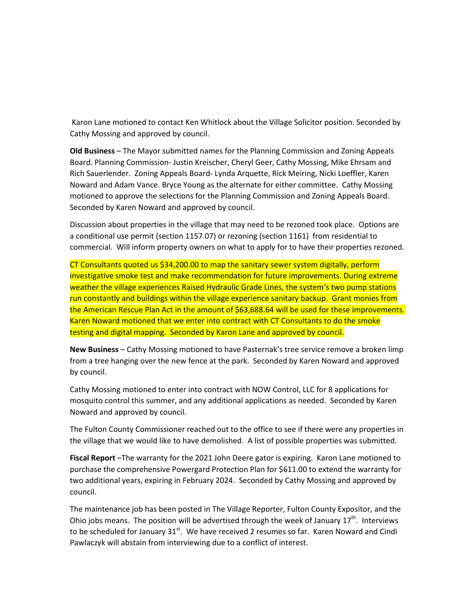Karon Lane motioned to contact Ken Whitlock about the Village Solicitor position. Seconded by Cathy Mossing and approved by council.

**Old Business** – The Mayor submitted names for the Planning Commission and Zoning Appeals Board. Planning Commission- Justin Kreischer, Cheryl Geer, Cathy Mossing, Mike Ehrsam and Rich Sauerlender. Zoning Appeals Board- Lynda Arquette, Rick Meiring, Nicki Loeffler, Karen Noward and Adam Vance. Bryce Young as the alternate for either committee. Cathy Mossing motioned to approve the selections for the Planning Commission and Zoning Appeals Board. Seconded by Karen Noward and approved by council.

Discussion about properties in the village that may need to be rezoned took place. Options are a conditional use permit (section 1157.07) or rezoning (section 1161) from residential to commercial. Will inform property owners on what to apply for to have their properties rezoned.

CT Consultants quoted us \$34,200.00 to map the sanitary sewer system digitally, perform investigative smoke test and make recommendation for future improvements. During extreme weather the village experiences Raised Hydraulic Grade Lines, the system's two pump stations run constantly and buildings within the village experience sanitary backup. Grant monies from the American Rescue Plan Act in the amount of \$63,688.64 will be used for these improvements. Karen Noward motioned that we enter into contract with CT Consultants to do the smoke testing and digital mapping. Seconded by Karon Lane and approved by council.

**New Business** – Cathy Mossing motioned to have Pasternak's tree service remove a broken limp from a tree hanging over the new fence at the park. Seconded by Karen Noward and approved by council.

Cathy Mossing motioned to enter into contract with NOW Control, LLC for 8 applications for mosquito control this summer, and any additional applications as needed. Seconded by Karen Noward and approved by council.

The Fulton County Commissioner reached out to the office to see if there were any properties in the village that we would like to have demolished. A list of possible properties was submitted.

**Fiscal Report** –The warranty for the 2021 John Deere gator is expiring. Karon Lane motioned to purchase the comprehensive Powergard Protection Plan for \$611.00 to extend the warranty for two additional years, expiring in February 2024. Seconded by Cathy Mossing and approved by council.

The maintenance job has been posted in The Village Reporter, Fulton County Expositor, and the Ohio jobs means. The position will be advertised through the week of January  $17<sup>th</sup>$ . Interviews to be scheduled for January 31<sup>st</sup>. We have received 2 resumes so far. Karen Noward and Cindi Pawlaczyk will abstain from interviewing due to a conflict of interest.